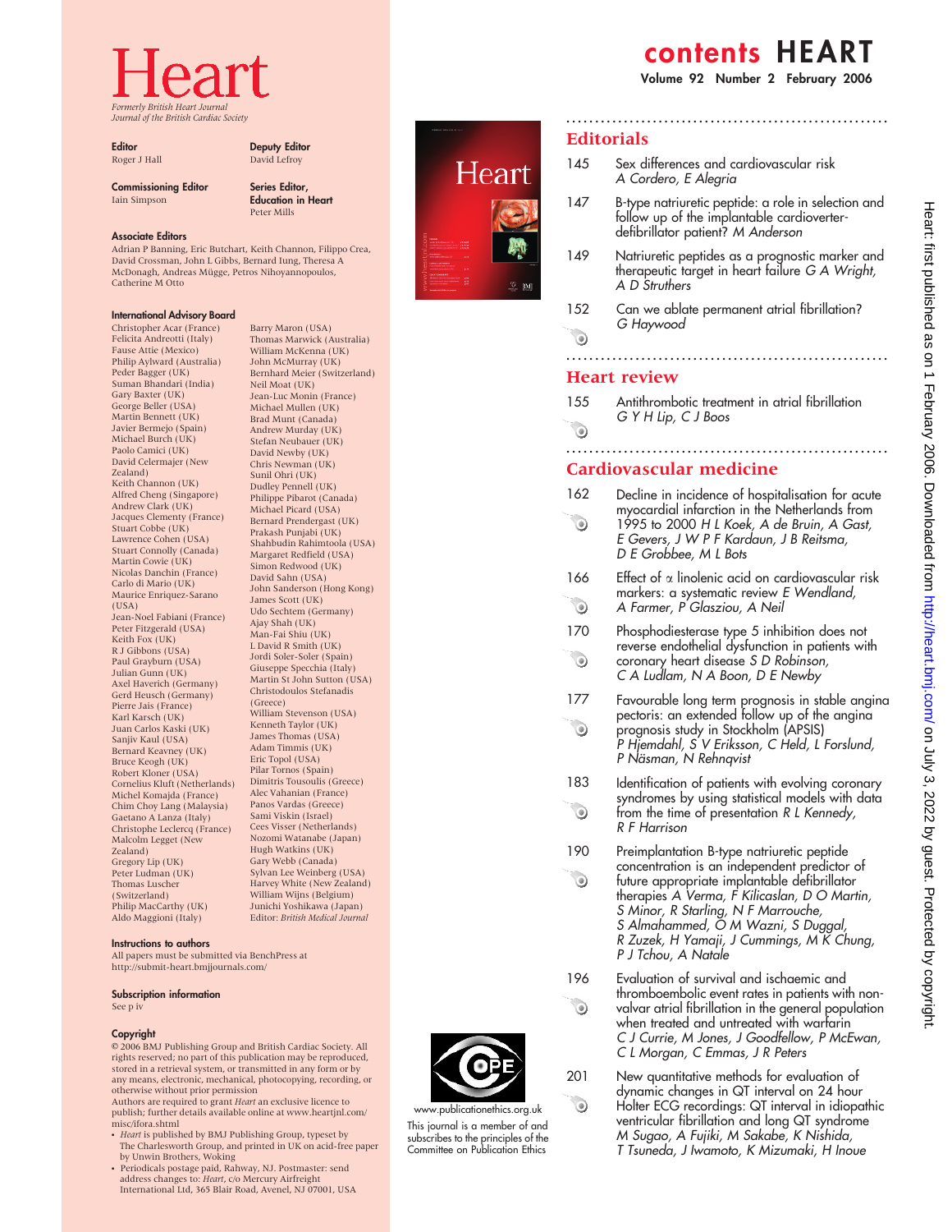# Formerly British Heart Journal Journal of the British Cardiac Society

**Editor** Roger J Hall

#### Deputy Editor David Lefroy Series Editor,

Education in Heart Peter Mills

Commissioning Editor Iain Simpson

#### Associate Editors

Adrian P Banning, Eric Butchart, Keith Channon, Filippo Crea, David Crossman, John L Gibbs, Bernard Iung, Theresa A McDonagh, Andreas Mügge, Petros Nihoyannopoulos, Catherine M Otto

#### International Advisory Board

Christopher Acar (France) Felicita Andreotti (Italy) Fause Attie (Mexico) Philip Aylward (Australia) Peder Bagger (UK) Suman Bhandari (India) Gary Baxter (UK) George Beller (USA) Martin Bennett (UK) Javier Bermejo (Spain) Michael Burch (UK) Paolo Camici (UK) David Celermajer (New Zealand) Keith Channon (UK) Alfred Cheng (Singapore) Andrew Clark (UK) Jacques Clementy (France) Stuart Cobbe (UK) Lawrence Cohen (USA) Stuart Connolly (Canada) Martin Cowie (UK) Nicolas Danchin (France) Carlo di Mario (UK) Maurice Enriquez-Sarano  $(115A)$ Jean-Noel Fabiani (France) Peter Fitzgerald (USA) Keith Fox (UK) R J Gibbons (USA) Paul Grayburn (USA) Julian Gunn (UK) Axel Haverich (Germany) Gerd Heusch (Germany) Pierre Jais (France) Karl Karsch (UK) Juan Carlos Kaski (UK) Sanjiv Kaul (USA) Bernard Keavney (UK) Bruce Keogh (UK) Robert Kloner (USA) Cornelius Kluft (Netherlands) Michel Komajda (France) Chim Choy Lang (Malaysia) Gaetano A Lanza (Italy) Christophe Leclercq (France) Malcolm Legget (New Zealand) Gregory Lip (UK) Peter Ludman (UK) Thomas Luscher (Switzerland) Philip MacCarthy (UK) Aldo Maggioni (Italy)

#### Barry Maron (USA) Thomas Marwick (Australia) William McKenna (UK) John McMurray (UK) Bernhard Meier (Switzerland) Neil Moat (UK) Jean-Luc Monin (France) Michael Mullen (UK) Brad Munt (Canada) Andrew Murday (UK) Stefan Neubauer (UK) David Newby (UK) Chris Newman (UK) Sunil Ohri (UK) Dudley Pennell (UK) Philippe Pibarot (Canada) Michael Picard (USA) Bernard Prendergast (UK) Prakash Punjabi (UK) Shahbudin Rahimtoola (USA) Margaret Redfield (USA) Simon Redwood (UK) David Sahn (USA) John Sanderson (Hong Kong) James Scott (UK) Udo Sechtem (Germany) Ajay Shah (UK) Man-Fai Shiu (UK) L David R Smith (UK) Jordi Soler-Soler (Spain) Giuseppe Specchia (Italy) Martin St John Sutton (USA) Christodoulos Stefanadis (Greece) William Stevenson (USA) Kenneth Taylor (UK) James Thomas (USA) Adam Timmis (UK) Eric Topol (USA) Pilar Tornos (Spain) Dimitris Tousoulis (Greece) Alec Vahanian (France) Panos Vardas (Greece) Sami Viskin (Israel) Cees Visser (Netherlands) Nozomi Watanabe (Japan) Hugh Watkins (UK) Gary Webb (Canada) Sylvan Lee Weinberg (USA) Harvey White (New Zealand) William Wijns (Belgium) Junichi Yoshikawa (Japan)

Editor: British Medical Journal



All papers must be submitted via BenchPress at http://submit-heart.bmjjournals.com/

#### Subscription information

See p iv

#### Copyright

 $@$  2006 BMJ Publishing Group and British Cardiac Society. All rights reserved; no part of this publication may be reproduced, stored in a retrieval system, or transmitted in any form or by any means, electronic, mechanical, photocopying, recording, or otherwise without prior permission<br>Authors are required to grant *Heart* an exclusive licence to

publish; further details available online at www.heartjnl.com/ misc/ifora.shtml

- Heart is published by BMJ Publishing Group, typeset by The Charlesworth Group, and printed in UK on acid-free paper by Unwin Brothers, Woking
- Periodicals postage paid, Rahway, NJ. Postmaster: send<br>address changes to: Heart, c/o Mercury Airfreight International Ltd, 365 Blair Road, Avenel, NJ 07001, USA

Heart



www.publicationethics.org.uk This journal is a member of and subscribes to the principles of the Committee on Publication Ethics

## contents HEART

Volume 92 Number 2 February 2006

#### **Editorials**

- 145 Sex differences and cardiovascular risk A Cordero, E Alegria
- 147 B-type natriuretic peptide: a role in selection and follow up of the implantable cardioverterdefibrillator patient? M Anderson

........................................................

- 149 Natriuretic peptides as a prognostic marker and therapeutic target in heart failure G A Wright, A D Struthers
- 152 Can we ablate permanent atrial fibrillation? G Haywood

#### $\odot$ ........................................................

#### Heart review

155 Antithrombotic treatment in atrial fibrillation G Y H Lip, C J Boos  $\begin{picture}(220,20) \put(0,0){\line(1,0){10}} \put(15,0){\line(1,0){10}} \put(15,0){\line(1,0){10}} \put(15,0){\line(1,0){10}} \put(15,0){\line(1,0){10}} \put(15,0){\line(1,0){10}} \put(15,0){\line(1,0){10}} \put(15,0){\line(1,0){10}} \put(15,0){\line(1,0){10}} \put(15,0){\line(1,0){10}} \put(15,0){\line(1,0){10}} \put(15,0){\line($ 

........................................................

## Cardiovascular medicine

- 162 Decline in incidence of hospitalisation for acute myocardial infarction in the Netherlands from  $\bullet$ 1995 to 2000 H L Koek, A de Bruin, A Gast, E Gevers, J W P F Kardaun, J B Reitsma, D E Grobbee, M L Bots
- 166 Effect of  $\alpha$  linolenic acid on cardiovascular risk markers: a systematic review E Wendland,  $\odot$ A Farmer, P Glasziou, A Neil
- 170 Phosphodiesterase type 5 inhibition does not reverse endothelial dysfunction in patients with  $\bullet$ coronary heart disease S D Robinson, C A Ludlam, N A Boon, D E Newby
- 177 Favourable long term prognosis in stable angina pectoris: an extended follow up of the angina  $\begin{picture}(220,20) \put(0,0){\line(1,0){10}} \put(15,0){\line(1,0){10}} \put(15,0){\line(1,0){10}} \put(15,0){\line(1,0){10}} \put(15,0){\line(1,0){10}} \put(15,0){\line(1,0){10}} \put(15,0){\line(1,0){10}} \put(15,0){\line(1,0){10}} \put(15,0){\line(1,0){10}} \put(15,0){\line(1,0){10}} \put(15,0){\line(1,0){10}} \put(15,0){\line($ prognosis study in Stockholm (APSIS) P Hjemdahl, S'V Eriksson, C Held, L Forslund, P Näsman, N Rehnqvist
- 183 Identification of patients with evolving coronary syndromes by using statistical models with data  $\odot$ from the time of presentation R L Kennedy, R F Harrison
- 190 Preimplantation B-type natriuretic peptide concentration is an independent predictor of  $\bullet$ future appropriate implantable defibrillator therapies A Verma, F Kilicaslan, D O Martin, S Minor, R Starling, N F Marrouche, S Almahammed, O M Wazni, S Duggal, R Zuzek, H Yamaji, J Cummings, M K Chung, P J Tchou, A Natale
- 196 Evaluation of survival and ischaemic and thromboembolic event rates in patients with nonvalvar atrial fibrillation in the general population when treated and untreated with warfarin C J Currie, M Jones, J Goodfellow, P McEwan, C L Morgan, C Emmas, J R Peters
- 201 New quantitative methods for evaluation of dynamic changes in QT interval on 24 hour Holter ECG recordings: QT interval in idiopathic ventricular fibrillation and long QT syndrome M Sugao, A Fujiki, M Sakabe, K Nishida, T Tsuneda, J Iwamoto, K Mizumaki, H Inoue

 $\odot$ 

 $\bullet$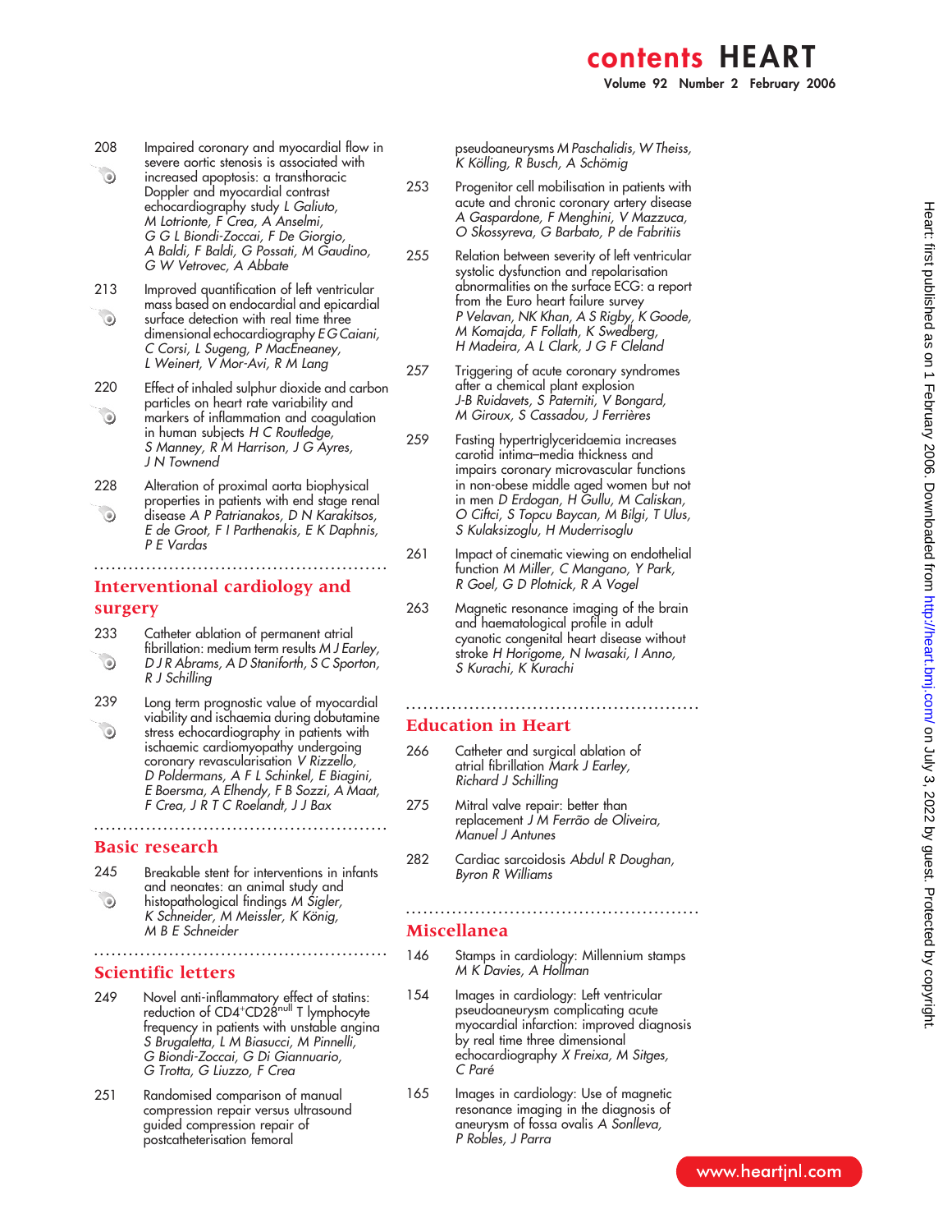- 208 Impaired coronary and myocardial flow in severe aortic stenosis is associated with  $\odot$ increased apoptosis: a transthoracic Doppler and myocardial contrast echocardiography study L Galiuto, M Lotrionte, F Crea, A Anselmi, G G L Biondi-Zoccai, F De Giorgio, A Baldi, F Baldi, G Possati, M Gaudino, G W Vetrovec, A Abbate
- 213 Improved quantification of left ventricular mass based on endocardial and epicardial  $\odot$ surface detection with real time three dimensional echocardiography E G Caiani, C Corsi, L Sugeng, P MacEneaney, L Weinert, V Mor-Avi, R M Lang
- 220 Effect of inhaled sulphur dioxide and carbon particles on heart rate variability and  $\odot$ markers of inflammation and coagulation
- in human subjects H C Routledge, S Manney, R M Harrison, J G Ayres, J N Townend 228 Alteration of proximal aorta biophysical
- properties in patients with end stage renal  $\odot$ disease A P Patrianakos, D N Karakitsos, E de Groot, F I Parthenakis, E K Daphnis, P E Vardas

...................................................

## Interventional cardiology and surgery

- 233 Catheter ablation of permanent atrial fibrillation: medium term results M J Earley,  $\odot$ D J R Abrams, A D Staniforth, S C Sporton, R J Schilling
- 239 Long term prognostic value of myocardial viability and ischaemia during dobutamine  $\odot$ stress echocardiography in patients with ischaemic cardiomyopathy undergoing coronary revascularisation V Rizzello, D Poldermans, A F L Schinkel, E Biagini, E Boersma, A Elhendy, F B Sozzi, A Maat, F Crea, J R T C Roelandt, J J Bax

...................................................

### Basic research

- 245 Breakable stent for interventions in infants and neonates: an animal study and  $\odot$ histopathological findings M Sigler,
- K Schneider, M Meissler, K König, M B E Schneider ...................................................
- Scientific letters
- 249 Novel anti-inflammatory effect of statins:<br>reduction of CD4<sup>+</sup>CD28<sup>null</sup> T lymphocyte frequency in patients with unstable angina S Brugaletta, L M Biasucci, M Pinnelli, G Biondi-Zoccai, G Di Giannuario, G Trotta, G Liuzzo, F Crea
- 251 Randomised comparison of manual compression repair versus ultrasound guided compression repair of postcatheterisation femoral

pseudoaneurysms M Paschalidis, W Theiss, K Kölling, R Busch, A Schömig

- 253 Progenitor cell mobilisation in patients with acute and chronic coronary artery disease A Gaspardone, F Menghini, V Mazzuca, O Skossyreva, G Barbato, P de Fabritiis
- 255 Relation between severity of left ventricular systolic dysfunction and repolarisation abnormalities on the surface ECG: a report from the Euro heart failure survey P Velavan, NK Khan, A S Rigby, K Goode, M Komajda, F Follath, K Swedberg, H Madeira, A L Clark, J G F Cleland
- 257 Triggering of acute coronary syndromes after a chemical plant explosion J-B Ruidavets, S Paterniti, V Bongard, M Giroux, S Cassadou, J Ferrières
- 259 Fasting hypertriglyceridaemia increases carotid intima–media thickness and impairs coronary microvascular functions in non-obese middle aged women but not in men D Erdogan, H Gullu, M Caliskan, O Ciftci, S Topcu Baycan, M Bilgi, T Ulus, S Kulaksizoglu, H Muderrisoglu
- 261 Impact of cinematic viewing on endothelial function M Miller, C Mangano, Y Park, R Goel, G D Plotnick, R A Vogel
- 263 Magnetic resonance imaging of the brain and haematological profile in adult cyanotic congenital heart disease without stroke H Horigome, N Iwasaki, I Anno, S Kurachi, K Kurachi

...................................................

### Education in Heart

- 266 Catheter and surgical ablation of atrial fibrillation Mark J Earley, Richard J Schilling
- 275 Mitral valve repair: better than replacement J'M Ferrão de Oliveira, Manuel J Antunes
- 282 Cardiac sarcoidosis Abdul R Doughan, Byron R Williams

### Miscellanea

146 Stamps in cardiology: Millennium stamps M K Davies, A Hollman

...................................................

- 154 Images in cardiology: Left ventricular pseudoaneurysm complicating acute myocardial infarction: improved diagnosis by real time three dimensional echocardiography X Freixa, M Sitges, C Pare´
- 165 Images in cardiology: Use of magnetic resonance imaging in the diagnosis of aneurysm of fossa ovalis A Sonlleva, P Robles, J Parra